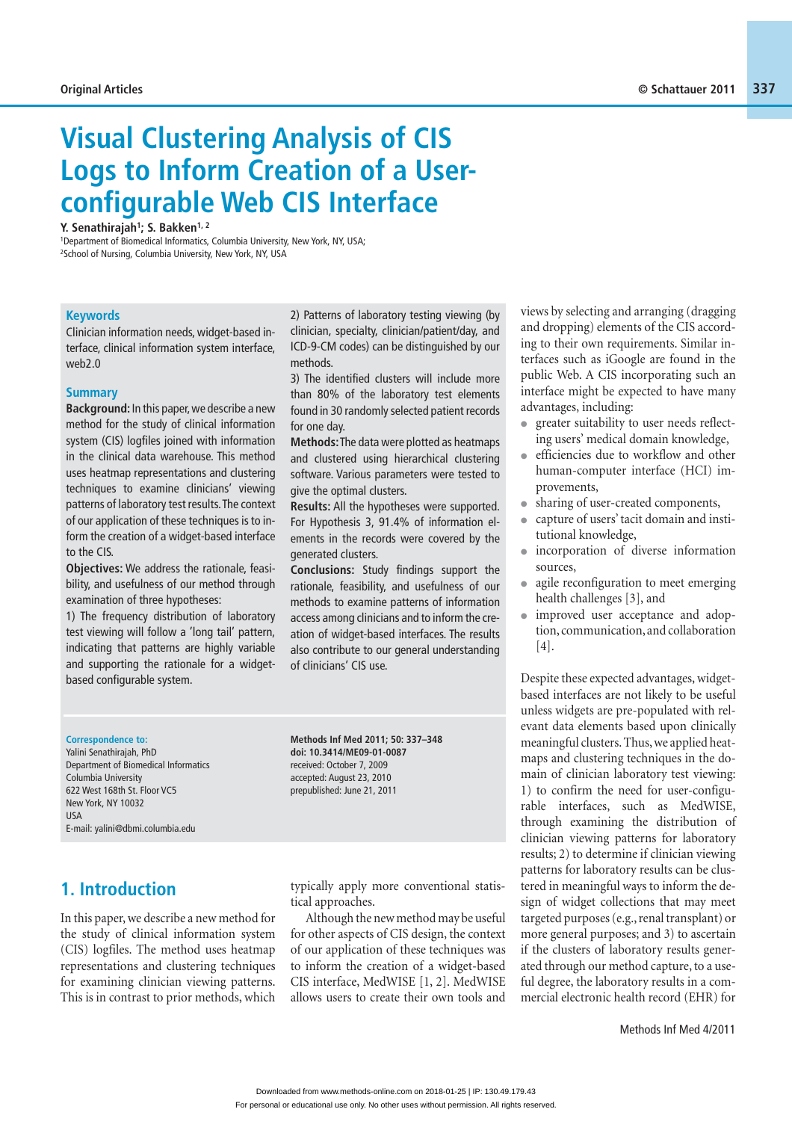# **Visual Clustering Analysis of CIS Logs to Inform Creation of a Userconfigurable Web CIS Interface**

**Y. Senathirajah1; S. Bakken1, 2**

<sup>1</sup>Department of Biomedical Informatics, Columbia University, New York, NY, USA; 2 School of Nursing, Columbia University, New York, NY, USA

#### **Keywords**

Clinician information needs, widget-based interface, clinical information system interface, web<sub>20</sub>

#### **Summary**

**Background:** In this paper, we describe a new method for the study of clinical information system (CIS) logfiles joined with information in the clinical data warehouse. This method uses heatmap representations and clustering techniques to examine clinicians' viewing patterns of laboratory test results. The context of our application of these techniques is to inform the creation of a widget-based interface to the CIS.

**Objectives:** We address the rationale, feasibility, and usefulness of our method through examination of three hypotheses:

1) The frequency distribution of laboratory test viewing will follow a 'long tail' pattern, indicating that patterns are highly variable and supporting the rationale for a widgetbased configurable system.

2) Patterns of laboratory testing viewing (by clinician, specialty, clinician/patient/day, and ICD-9-CM codes) can be distinguished by our methods.

3) The identified clusters will include more than 80% of the laboratory test elements found in 30 randomly selected patient records for one day.

**Methods:** The data were plotted as heatmaps and clustered using hierarchical clustering software. Various parameters were tested to give the optimal clusters.

**Results:** All the hypotheses were supported. For Hypothesis 3, 91.4% of information elements in the records were covered by the generated clusters.

**Conclusions:** Study findings support the rationale, feasibility, and usefulness of our methods to examine patterns of information access among clinicians and to inform the creation of widget-based interfaces. The results also contribute to our general understanding of clinicians' CIS use.

#### **Correspondence to:**

Yalini Senathirajah, PhD Department of Biomedical Informatics Columbia University 622 West 168th St. Floor VC5 New York, NY 10032 USA E-mail: yalini@dbmi.columbia.edu

# **1. Introduction**

In this paper, we describe a new method for the study of clinical information system (CIS) logfiles. The method uses heatmap representations and clustering techniques for examining clinician viewing patterns. This is in contrast to prior methods, which

**Methods Inf Med 2011; 50: 337–348 doi: 10.3414/ME09-01-0087**  received: October 7, 2009 accepted: August 23, 2010 prepublished: June 21, 2011

typically apply more conventional statistical approaches.

Although the new method may be useful for other aspects of CIS design, the context of our application of these techniques was to inform the creation of a widget-based CIS interface, MedWISE [1, 2]. MedWISE allows users to create their own tools and views by selecting and arranging (dragging and dropping) elements of the CIS according to their own requirements. Similar interfaces such as iGoogle are found in the public Web. A CIS incorporating such an interface might be expected to have many advantages, including:

- greater suitability to user needs reflecting users' medical domain knowledge,
- efficiencies due to workflow and other human-computer interface (HCI) improvements,
- sharing of user-created components,
- capture of users' tacit domain and institutional knowledge,
- incorporation of diverse information sources,
- agile reconfiguration to meet emerging health challenges [3], and
- improved user acceptance and adoption, communication, and collaboration [4].

Despite these expected advantages, widgetbased interfaces are not likely to be useful unless widgets are pre-populated with relevant data elements based upon clinically meaningful clusters. Thus, we applied heatmaps and clustering techniques in the domain of clinician laboratory test viewing: 1) to confirm the need for user-configurable interfaces, such as MedWISE, through examining the distribution of clinician viewing patterns for laboratory results; 2) to determine if clinician viewing patterns for laboratory results can be clustered in meaningful ways to inform the design of widget collections that may meet targeted purposes (e.g., renal transplant) or more general purposes; and 3) to ascertain if the clusters of laboratory results generated through our method capture, to a useful degree, the laboratory results in a commercial electronic health record (EHR) for

Methods Inf Med 4/2011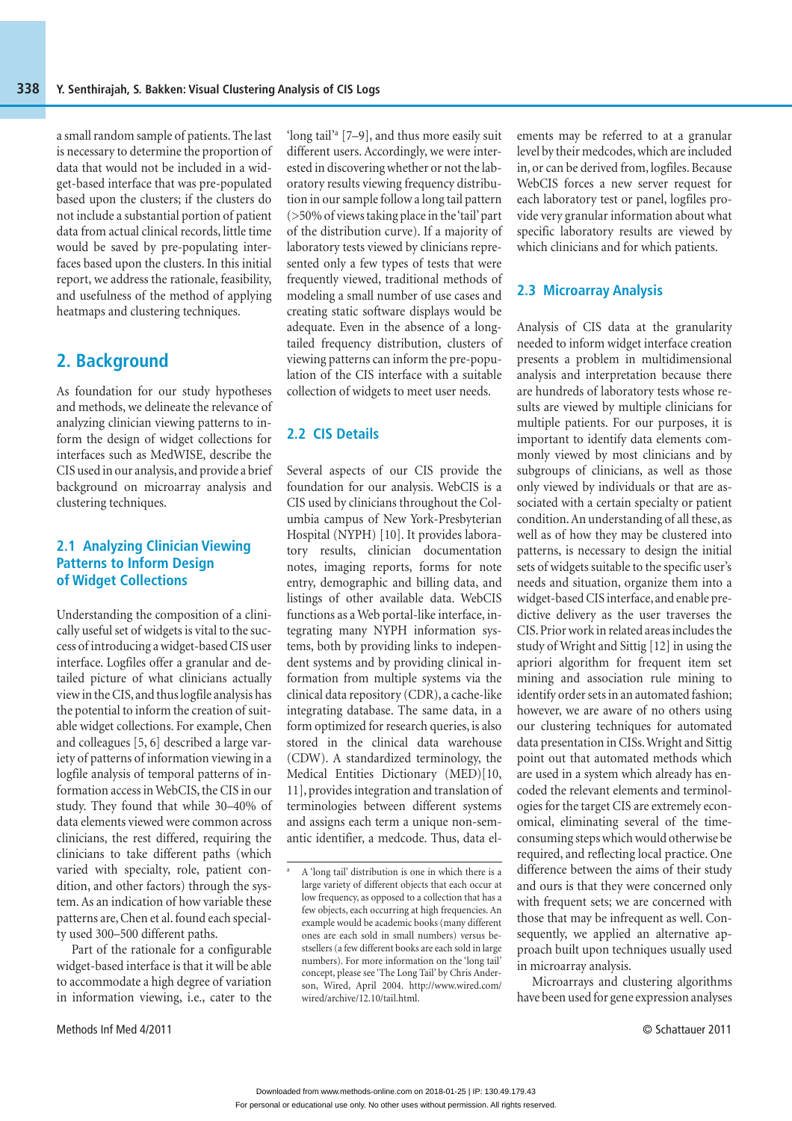a small random sample of patients. The last is necessary to determine the proportion of data that would not be included in a widget-based interface that was pre-populated based upon the clusters; if the clusters do not include a substantial portion of patient data from actual clinical records, little time would be saved by pre-populating interfaces based upon the clusters. In this initial report, we address the rationale, feasibility, and usefulness of the method of applying heatmaps and clustering techniques.

## **2. Background**

As foundation for our study hypotheses and methods, we delineate the relevance of analyzing clinician viewing patterns to inform the design of widget collections for interfaces such as MedWISE, describe the CIS used in our analysis, and provide a brief background on microarray analysis and clustering techniques.

## **2.1 Analyzing Clinician Viewing Patterns to Inform Design of Widget Collections**

Understanding the composition of a clinically useful set of widgets is vital to the success of introducing a widget-based CIS user interface. Logfiles offer a granular and detailed picture of what clinicians actually view in the CIS, and thus logfile analysis has the potential to inform the creation of suitable widget collections. For example, Chen and colleagues [5, 6] described a large variety of patterns of information viewing in a logfile analysis of temporal patterns of information access in WebCIS, the CIS in our study. They found that while 30–40% of data elements viewed were common across clinicians, the rest differed, requiring the clinicians to take different paths (which varied with specialty, role, patient condition, and other factors) through the system. As an indication of how variable these patterns are, Chen et al. found each specialty used 300–500 different paths.

Part of the rationale for a configurable widget-based interface is that it will be able to accommodate a high degree of variation in information viewing, i.e., cater to the

adequate. Even in the absence of a longtailed frequency distribution, clusters of viewing patterns can inform the pre-population of the CIS interface with a suitable collection of widgets to meet user needs. **2.2 CIS Details**  Several aspects of our CIS provide the foundation for our analysis. WebCIS is a CIS used by clinicians throughout the Columbia campus of New York-Presbyterian Hospital (NYPH) [10]. It provides laboratory results, clinician documentation

notes, imaging reports, forms for note entry, demographic and billing data, and listings of other available data. WebCIS functions as a Web portal-like interface, integrating many NYPH information systems, both by providing links to independent systems and by providing clinical information from multiple systems via the clinical data repository (CDR), a cache-like integrating database. The same data, in a form optimized for research queries, is also stored in the clinical data warehouse (CDW). A standardized terminology, the Medical Entities Dictionary (MED)[10, 11], provides integration and translation of terminologies between different systems and assigns each term a unique non-semantic identifier, a medcode. Thus, data el-

'long tail'a [7–9], and thus more easily suit different users. Accordingly, we were interested in discovering whether or not the laboratory results viewing frequency distribution in our sample follow a long tail pattern (>50% of views taking place in the 'tail' part of the distribution curve). If a majority of laboratory tests viewed by clinicians represented only a few types of tests that were frequently viewed, traditional methods of modeling a small number of use cases and creating static software displays would be

ements may be referred to at a granular level by their medcodes, which are included in, or can be derived from, logfiles. Because WebCIS forces a new server request for each laboratory test or panel, logfiles provide very granular information about what specific laboratory results are viewed by which clinicians and for which patients.

#### **2.3 Microarray Analysis**

Analysis of CIS data at the granularity needed to inform widget interface creation presents a problem in multidimensional analysis and interpretation because there are hundreds of laboratory tests whose results are viewed by multiple clinicians for multiple patients. For our purposes, it is important to identify data elements commonly viewed by most clinicians and by subgroups of clinicians, as well as those only viewed by individuals or that are associated with a certain specialty or patient condition. An understanding of all these, as well as of how they may be clustered into patterns, is necessary to design the initial sets of widgets suitable to the specific user's needs and situation, organize them into a widget-based CIS interface, and enable predictive delivery as the user traverses the CIS. Prior work in related areas includes the study of Wright and Sittig [12] in using the apriori algorithm for frequent item set mining and association rule mining to identify order sets in an automated fashion; however, we are aware of no others using our clustering techniques for automated data presentation in CISs. Wright and Sittig point out that automated methods which are used in a system which already has encoded the relevant elements and terminologies for the target CIS are extremely economical, eliminating several of the timeconsuming steps which would otherwise be required, and reflecting local practice. One difference between the aims of their study and ours is that they were concerned only with frequent sets; we are concerned with those that may be infrequent as well. Consequently, we applied an alternative approach built upon techniques usually used in microarray analysis.

Microarrays and clustering algorithms have been used for gene expression analyses

a A 'long tail' distribution is one in which there is a large variety of different objects that each occur at low frequency, as opposed to a collection that has a few objects, each occurring at high frequencies. An example would be academic books (many different ones are each sold in small numbers) versus bestsellers (a few different books are each sold in large numbers). For more information on the 'long tail' concept, please see 'The Long Tail' by Chris Anderson, Wired, April 2004. http://www.wired.com/ wired/archive/12.10/tail.html.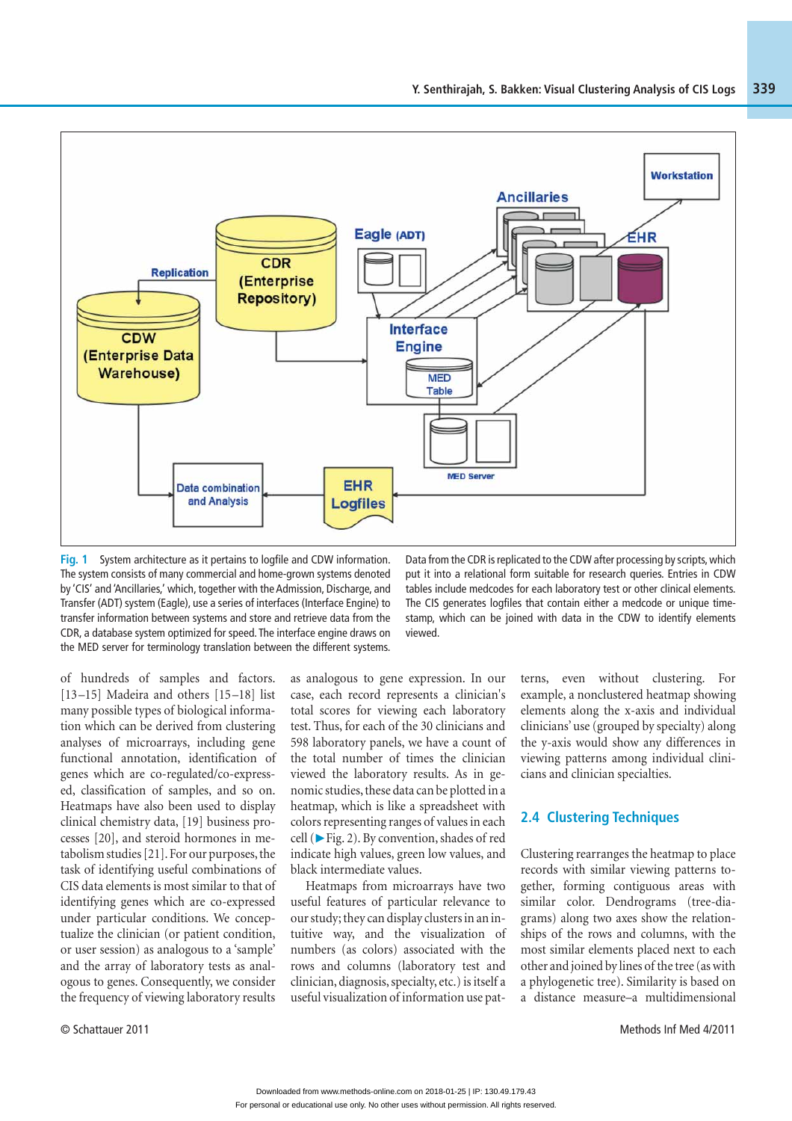

**Fig. 1** System architecture as it pertains to logfile and CDW information. The system consists of many commercial and home-grown systems denoted by 'CIS' and 'Ancillaries,' which, together with the Admission, Discharge, and Transfer (ADT) system (Eagle), use a series of interfaces (Interface Engine) to transfer information between systems and store and retrieve data from the CDR, a database system optimized for speed. The interface engine draws on the MED server for terminology translation between the different systems.

Data from the CDR is replicated to the CDW after processing by scripts, which put it into a relational form suitable for research queries. Entries in CDW tables include medcodes for each laboratory test or other clinical elements. The CIS generates logfiles that contain either a medcode or unique timestamp, which can be joined with data in the CDW to identify elements viewed.

of hundreds of samples and factors. [13-15] Madeira and others [15-18] list many possible types of biological information which can be derived from clustering analyses of microarrays, including gene functional annotation, identification of genes which are co-regulated/co-expressed, classification of samples, and so on. Heatmaps have also been used to display clinical chemistry data, [19] business processes [20], and steroid hormones in metabolism studies [21]. For our purposes, the task of identifying useful combinations of CIS data elements is most similar to that of identifying genes which are co-expressed under particular conditions. We conceptualize the clinician (or patient condition, or user session) as analogous to a 'sample' and the array of laboratory tests as analogous to genes. Consequently, we consider the frequency of viewing laboratory results

as analogous to gene expression. In our case, each record represents a clinician's total scores for viewing each laboratory test. Thus, for each of the 30 clinicians and 598 laboratory panels, we have a count of the total number of times the clinician viewed the laboratory results. As in genomic studies, these data can be plotted in a heatmap, which is like a spreadsheet with colors representing ranges of values in each cell ( $\blacktriangleright$  Fig. 2). By convention, shades of red indicate high values, green low values, and black intermediate values.

Heatmaps from microarrays have two useful features of particular relevance to our study; they can display clusters in an intuitive way, and the visualization of numbers (as colors) associated with the rows and columns (laboratory test and clinician, diagnosis, specialty, etc.) is itself a useful visualization of information use patterns, even without clustering. For example, a nonclustered heatmap showing elements along the x-axis and individual clinicians' use (grouped by specialty) along the y-axis would show any differences in viewing patterns among individual clinicians and clinician specialties.

## **2.4 Clustering Techniques**

Clustering rearranges the heatmap to place records with similar viewing patterns together, forming contiguous areas with similar color. Dendrograms (tree-diagrams) along two axes show the relationships of the rows and columns, with the most similar elements placed next to each other and joined by lines of the tree (as with a phylogenetic tree). Similarity is based on a distance measure–a multidimensional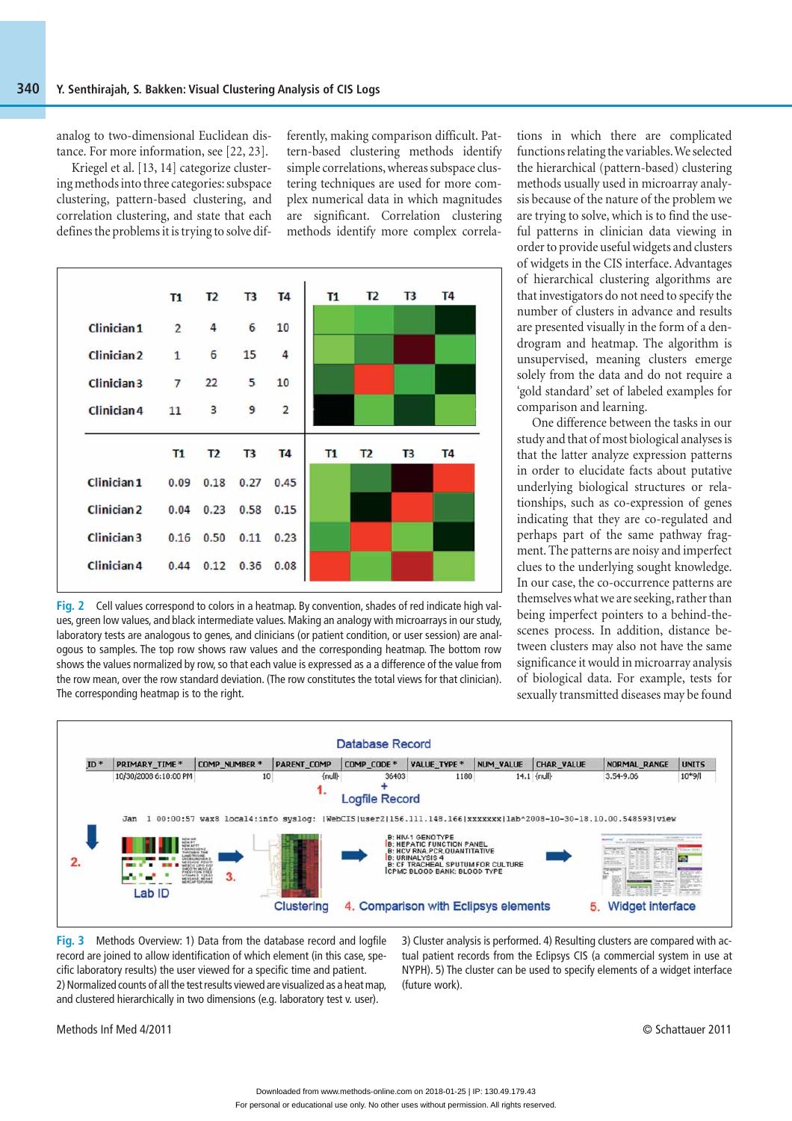analog to two-dimensional Euclidean distance. For more information, see [22, 23].

Kriegel et al. [13, 14] categorize clustering methods into three categories: subspace clustering, pattern-based clustering, and correlation clustering, and state that each defines the problems it is trying to solve differently, making comparison difficult. Pattern-based clustering methods identify simple correlations, whereas subspace clustering techniques are used for more complex numerical data in which magnitudes are significant. Correlation clustering methods identify more complex correla-



**Fig. 2** Cell values correspond to colors in a heatmap. By convention, shades of red indicate high values, green low values, and black intermediate values. Making an analogy with microarrays in our study, laboratory tests are analogous to genes, and clinicians (or patient condition, or user session) are analogous to samples. The top row shows raw values and the corresponding heatmap. The bottom row shows the values normalized by row, so that each value is expressed as a a difference of the value from the row mean, over the row standard deviation. (The row constitutes the total views for that clinician). The corresponding heatmap is to the right.

tions in which there are complicated functions relating the variables. We selected the hierarchical (pattern-based) clustering methods usually used in microarray analysis because of the nature of the problem we are trying to solve, which is to find the useful patterns in clinician data viewing in order to provide useful widgets and clusters of widgets in the CIS interface. Advantages of hierarchical clustering algorithms are that investigators do not need to specify the number of clusters in advance and results are presented visually in the form of a dendrogram and heatmap. The algorithm is unsupervised, meaning clusters emerge solely from the data and do not require a 'gold standard' set of labeled examples for comparison and learning.

One difference between the tasks in our study and that of most biological analyses is that the latter analyze expression patterns in order to elucidate facts about putative underlying biological structures or relationships, such as co-expression of genes indicating that they are co-regulated and perhaps part of the same pathway fragment. The patterns are noisy and imperfect clues to the underlying sought knowledge. In our case, the co-occurrence patterns are themselves what we are seeking, rather than being imperfect pointers to a behind-thescenes process. In addition, distance between clusters may also not have the same significance it would in microarray analysis of biological data. For example, tests for sexually transmitted diseases may be found



**Fig. 3** Methods Overview: 1) Data from the database record and logfile record are joined to allow identification of which element (in this case, specific laboratory results) the user viewed for a specific time and patient. 2) Normalized counts of all the test results viewed are visualized as a heat map, and clustered hierarchically in two dimensions (e.g. laboratory test v. user).

3) Cluster analysis is performed. 4) Resulting clusters are compared with actual patient records from the Eclipsys CIS (a commercial system in use at NYPH). 5) The cluster can be used to specify elements of a widget interface (future work).

Methods Inf Med 4/2011 © Schattauer 2011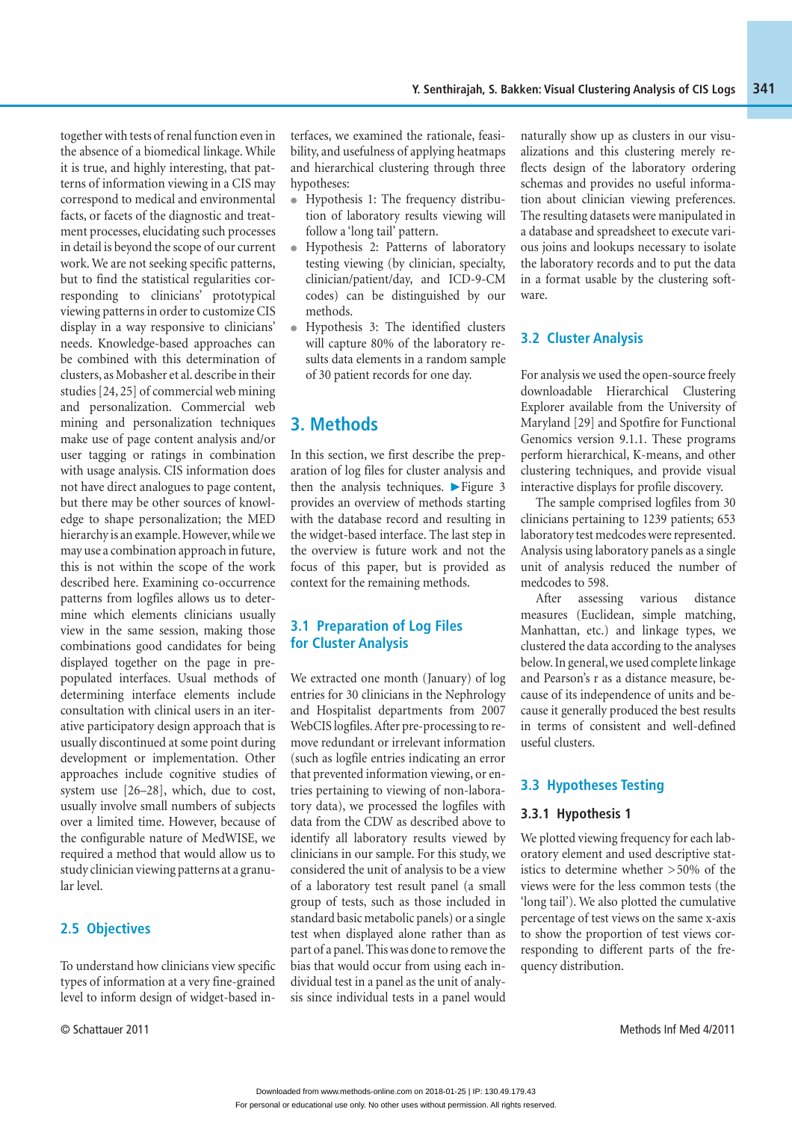together with tests of renal function even in the absence of a biomedical linkage. While it is true, and highly interesting, that patterns of information viewing in a CIS may correspond to medical and environmental facts, or facets of the diagnostic and treatment processes, elucidating such processes in detail is beyond the scope of our current work. We are not seeking specific patterns, but to find the statistical regularities corresponding to clinicians' prototypical viewing patterns in order to customize CIS display in a way responsive to clinicians' needs. Knowledge-based approaches can be combined with this determination of clusters, as Mobasher et al. describe in their studies [24, 25] of commercial web mining and personalization. Commercial web mining and personalization techniques make use of page content analysis and/or user tagging or ratings in combination with usage analysis. CIS information does not have direct analogues to page content, but there may be other sources of knowledge to shape personalization; the MED hierarchy is an example. However, while we may use a combination approach in future, this is not within the scope of the work described here. Examining co-occurrence patterns from logfiles allows us to determine which elements clinicians usually view in the same session, making those combinations good candidates for being displayed together on the page in prepopulated interfaces. Usual methods of determining interface elements include consultation with clinical users in an iterative participatory design approach that is usually discontinued at some point during development or implementation. Other approaches include cognitive studies of system use [26–28], which, due to cost, usually involve small numbers of subjects over a limited time. However, because of the configurable nature of MedWISE, we required a method that would allow us to study clinician viewing patterns at a granular level.

#### **2.5 Objectives**

To understand how clinicians view specific types of information at a very fine-grained level to inform design of widget-based in-

terfaces, we examined the rationale, feasibility, and usefulness of applying heatmaps and hierarchical clustering through three hypotheses:

- Hypothesis 1: The frequency distribution of laboratory results viewing will follow a 'long tail' pattern.
- Hypothesis 2: Patterns of laboratory testing viewing (by clinician, specialty, clinician/patient/day, and ICD-9-CM codes) can be distinguished by our methods.
- Hypothesis 3: The identified clusters will capture 80% of the laboratory results data elements in a random sample of 30 patient records for one day.

## **3. Methods**

In this section, we first describe the preparation of log files for cluster analysis and then the analysis techniques.  $\blacktriangleright$  Figure 3 provides an overview of methods starting with the database record and resulting in the widget-based interface. The last step in the overview is future work and not the focus of this paper, but is provided as context for the remaining methods.

## **3.1 Preparation of Log Files for Cluster Analysis**

We extracted one month (January) of log entries for 30 clinicians in the Nephrology and Hospitalist departments from 2007 WebCIS logfiles. After pre-processing to remove redundant or irrelevant information (such as logfile entries indicating an error that prevented information viewing, or entries pertaining to viewing of non-laboratory data), we processed the logfiles with data from the CDW as described above to identify all laboratory results viewed by clinicians in our sample. For this study, we considered the unit of analysis to be a view of a laboratory test result panel (a small group of tests, such as those included in standard basic metabolic panels) or a single test when displayed alone rather than as part of a panel. This was done to remove the bias that would occur from using each individual test in a panel as the unit of analysis since individual tests in a panel would naturally show up as clusters in our visualizations and this clustering merely reflects design of the laboratory ordering schemas and provides no useful information about clinician viewing preferences. The resulting datasets were manipulated in a database and spreadsheet to execute various joins and lookups necessary to isolate the laboratory records and to put the data in a format usable by the clustering software.

#### **3.2 Cluster Analysis**

For analysis we used the open-source freely downloadable Hierarchical Clustering Explorer available from the University of Maryland [29] and Spotfire for Functional Genomics version 9.1.1. These programs perform hierarchical, K-means, and other clustering techniques, and provide visual interactive displays for profile discovery.

The sample comprised logfiles from 30 clinicians pertaining to 1239 patients; 653 laboratory test medcodes were represented. Analysis using laboratory panels as a single unit of analysis reduced the number of medcodes to 598.

After assessing various distance measures (Euclidean, simple matching, Manhattan, etc.) and linkage types, we clustered the data according to the analyses below. In general, we used complete linkage and Pearson's r as a distance measure, because of its independence of units and because it generally produced the best results in terms of consistent and well-defined useful clusters.

## **3.3 Hypotheses Testing**

#### **3.3.1 Hypothesis 1**

We plotted viewing frequency for each laboratory element and used descriptive statistics to determine whether > 50% of the views were for the less common tests (the 'long tail'). We also plotted the cumulative percentage of test views on the same x-axis to show the proportion of test views corresponding to different parts of the frequency distribution.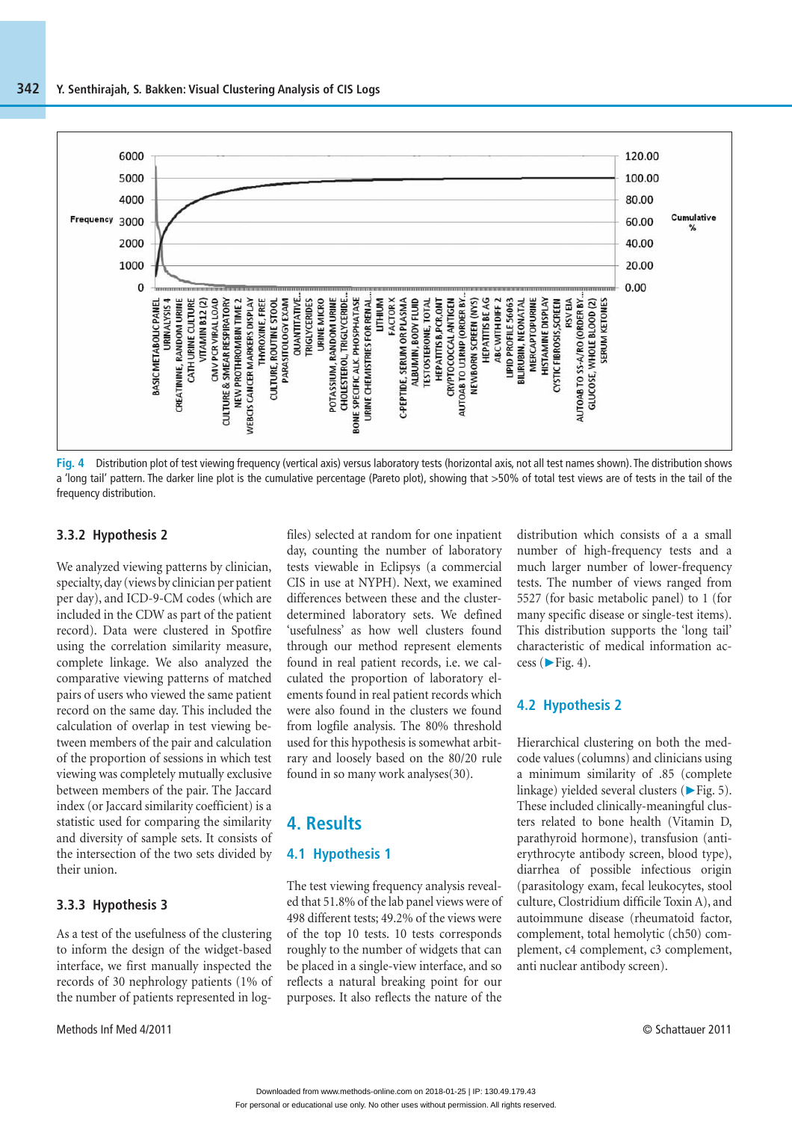

**Fig. 4** Distribution plot of test viewing frequency (vertical axis) versus laboratory tests (horizontal axis, not all test names shown). The distribution shows a 'long tail' pattern. The darker line plot is the cumulative percentage (Pareto plot), showing that >50% of total test views are of tests in the tail of the frequency distribution.

#### **3.3.2 Hypothesis 2**

We analyzed viewing patterns by clinician, specialty, day (views by clinician per patient per day), and ICD-9-CM codes (which are included in the CDW as part of the patient record). Data were clustered in Spotfire using the correlation similarity measure, complete linkage. We also analyzed the comparative viewing patterns of matched pairs of users who viewed the same patient record on the same day. This included the calculation of overlap in test viewing between members of the pair and calculation of the proportion of sessions in which test viewing was completely mutually exclusive between members of the pair. The Jaccard index (or Jaccard similarity coefficient) is a statistic used for comparing the similarity and diversity of sample sets. It consists of the intersection of the two sets divided by their union.

#### **3.3.3 Hypothesis 3**

As a test of the usefulness of the clustering to inform the design of the widget-based interface, we first manually inspected the records of 30 nephrology patients (1% of the number of patients represented in log-

Methods Inf Med 4/2011 © Schattauer 2011

files) selected at random for one inpatient day, counting the number of laboratory tests viewable in Eclipsys (a commercial CIS in use at NYPH). Next, we examined differences between these and the clusterdetermined laboratory sets. We defined 'usefulness' as how well clusters found through our method represent elements found in real patient records, i.e. we calculated the proportion of laboratory elements found in real patient records which were also found in the clusters we found from logfile analysis. The 80% threshold used for this hypothesis is somewhat arbitrary and loosely based on the 80/20 rule found in so many work analyses(30).

# **4. Results**

#### **4.1 Hypothesis 1**

The test viewing frequency analysis revealed that 51.8% of the lab panel views were of 498 different tests; 49.2% of the views were of the top 10 tests. 10 tests corresponds roughly to the number of widgets that can be placed in a single-view interface, and so reflects a natural breaking point for our purposes. It also reflects the nature of the distribution which consists of a a small number of high-frequency tests and a much larger number of lower-frequency tests. The number of views ranged from 5527 (for basic metabolic panel) to 1 (for many specific disease or single-test items). This distribution supports the 'long tail' characteristic of medical information ac- $\csc(\triangleright$  Fig. 4).

#### **4.2 Hypothesis 2**

Hierarchical clustering on both the medcode values (columns) and clinicians using a minimum similarity of .85 (complete linkage) yielded several clusters ( $\blacktriangleright$  Fig. 5). These included clinically-meaningful clus ters related to bone health (Vitamin D, parathyroid hormone), transfusion (antierythrocyte antibody screen, blood type), diarrhea of possible infectious origin (parasitology exam, fecal leukocytes, stool culture, Clostridium difficile Toxin A), and autoimmune disease (rheumatoid factor, complement, total hemolytic (ch50) complement, c4 complement, c3 complement, anti nuclear antibody screen).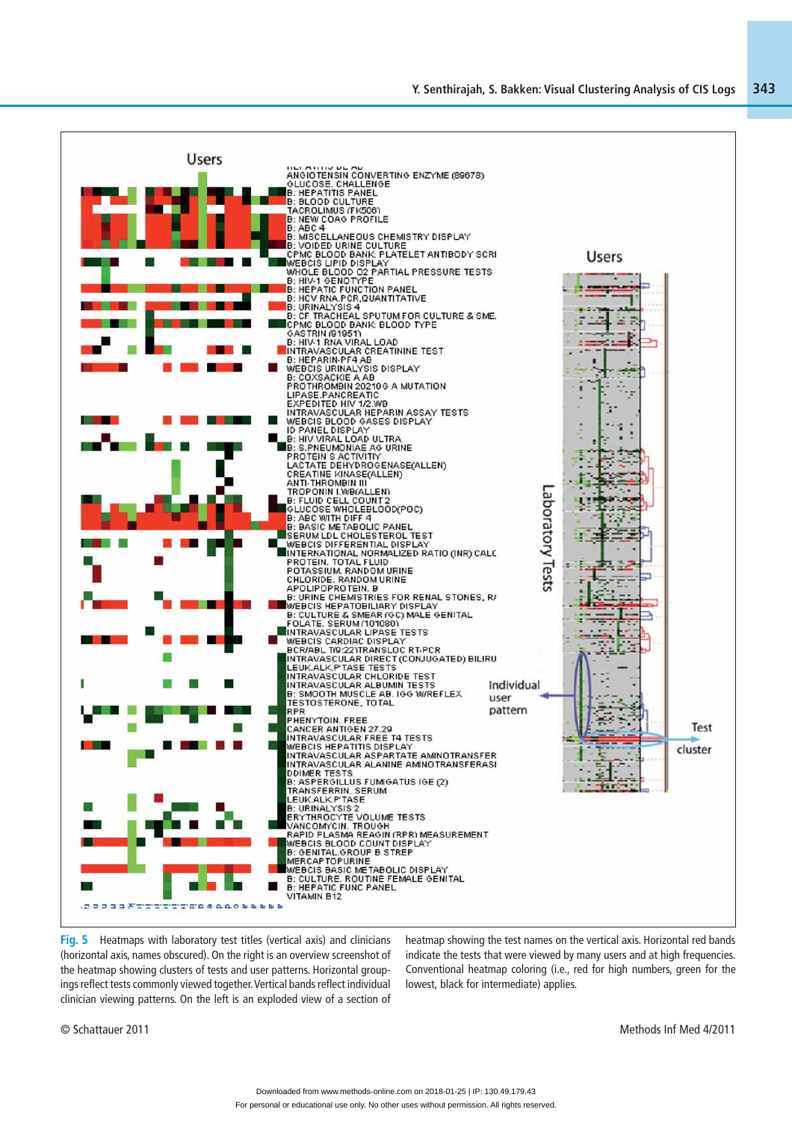

**Fig. 5** Heatmaps with laboratory test titles (vertical axis) and clinicians (horizontal axis, names obscured). On the right is an overview screenshot of the heatmap showing clusters of tests and user patterns. Horizontal groupings reflect tests commonly viewed together. Vertical bands reflect individual clinician viewing patterns. On the left is an exploded view of a section of

heatmap showing the test names on the vertical axis. Horizontal red bands indicate the tests that were viewed by many users and at high frequencies. Conventional heatmap coloring (i.e., red for high numbers, green for the lowest, black for intermediate) applies.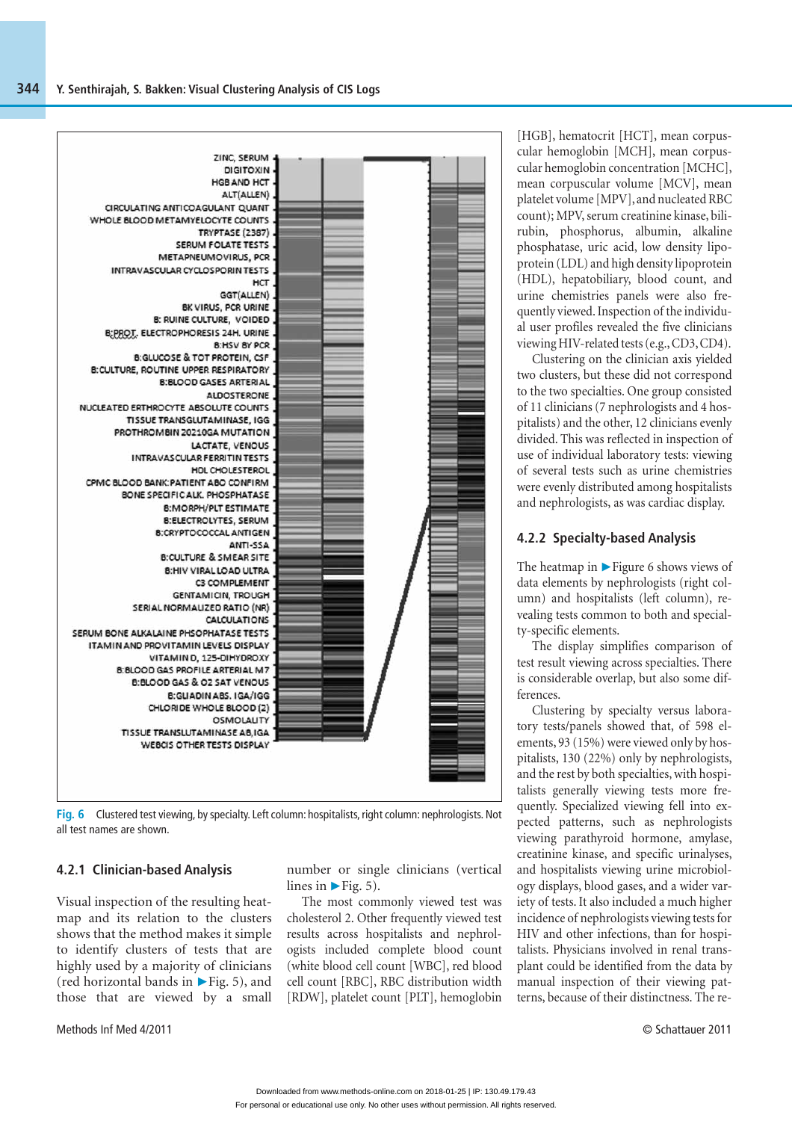

**Fig. 6** Clustered test viewing, by specialty. Left column: hospitalists, right column: nephrologists. Not all test names are shown.

#### **4.2.1 Clinician-based Analysis**

Visual inspection of the resulting heatmap and its relation to the clusters shows that the method makes it simple to identify clusters of tests that are highly used by a majority of clinicians (red horizontal bands in  $\triangleright$  Fig. 5), and those that are viewed by a small

Methods Inf Med 4/2011 © Schattauer 2011

number or single clinicians (vertical lines in  $\blacktriangleright$  Fig. 5).

The most commonly viewed test was cholesterol 2. Other frequently viewed test results across hospitalists and nephrologists included complete blood count (white blood cell count [WBC], red blood cell count [RBC], RBC distribution width [RDW], platelet count [PLT], hemoglobin

[HGB], hematocrit [HCT], mean corpuscular hemoglobin [MCH], mean corpuscular hemoglobin concentration [MCHC], mean corpuscular volume [MCV], mean platelet volume [MPV], and nucleated RBC count); MPV, serum creatinine kinase, bilirubin, phosphorus, albumin, alkaline phosphatase, uric acid, low density lipoprotein (LDL) and high density lipoprotein (HDL), hepatobiliary, blood count, and urine chemistries panels were also frequently viewed. Inspection of the individual user profiles revealed the five clinicians viewing HIV-related tests (e.g., CD3, CD4).

Clustering on the clinician axis yielded two clusters, but these did not correspond to the two specialties. One group consisted of 11 clinicians (7 nephrologists and 4 hospitalists) and the other, 12 clinicians evenly divided. This was reflected in inspection of use of individual laboratory tests: viewing of several tests such as urine chemistries were evenly distributed among hospitalists and nephrologists, as was cardiac display.

#### **4.2.2 Specialty-based Analysis**

The heatmap in  $\blacktriangleright$  Figure 6 shows views of data elements by nephrologists (right column) and hospitalists (left column), revealing tests common to both and specialty-specific elements.

The display simplifies comparison of test result viewing across specialties. There is considerable overlap, but also some differences.

Clustering by specialty versus laboratory tests/panels showed that, of 598 elements, 93 (15%) were viewed only by hospitalists, 130 (22%) only by nephrologists, and the rest by both specialties, with hospitalists generally viewing tests more frequently. Specialized viewing fell into expected patterns, such as nephrologists viewing parathyroid hormone, amylase, creatinine kinase, and specific urinalyses, and hospitalists viewing urine microbiology displays, blood gases, and a wider variety of tests. It also included a much higher incidence of nephrologists viewing tests for HIV and other infections, than for hospitalists. Physicians involved in renal transplant could be identified from the data by manual inspection of their viewing patterns, because of their distinctness. The re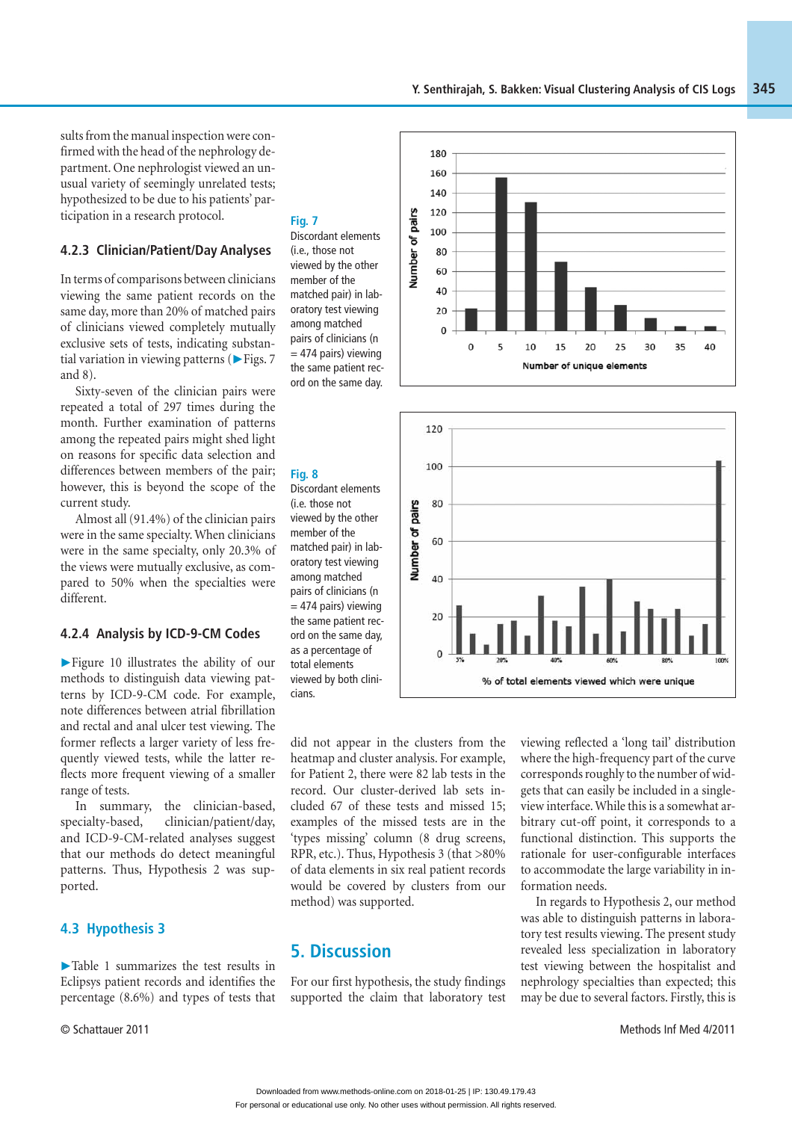sults from the manual inspection were confirmed with the head of the nephrology department. One nephrologist viewed an unusual variety of seemingly unrelated tests; hypothesized to be due to his patients' participation in a research protocol.

#### **4.2.3 Clinician/Patient/Day Analyses**

In terms of comparisons between clinicians viewing the same patient records on the same day, more than 20% of matched pairs of clinicians viewed completely mutually exclusive sets of tests, indicating substan tial variation in viewing patterns ( $\blacktriangleright$  Figs. 7 and 8).

Sixty-seven of the clinician pairs were repeated a total of 297 times during the month. Further examination of patterns among the repeated pairs might shed light on reasons for specific data selection and differences between members of the pair; however, this is beyond the scope of the current study.

Almost all (91.4%) of the clinician pairs were in the same specialty. When clinicians were in the same specialty, only 20.3% of the views were mutually exclusive, as compared to 50% when the specialties were different.

#### **4.2.4 Analysis by ICD-9-CM Codes**

-Figure 10 illustrates the ability of our methods to distinguish data viewing patterns by ICD-9-CM code. For example, note differences between atrial fibrillation and rectal and anal ulcer test viewing. The former reflects a larger variety of less frequently viewed tests, while the latter reflects more frequent viewing of a smaller range of tests.

In summary, the clinician-based, specialty-based, clinician/patient/day, and ICD-9-CM-related analyses suggest that our methods do detect meaningful patterns. Thus, Hypothesis 2 was supported.

#### **4.3 Hypothesis 3**

-Table 1 summarizes the test results in Eclipsys patient records and identifies the percentage (8.6%) and types of tests that



Discordant elements (i.e., those not viewed by the other member of the matched pair) in laboratory test viewing among matched pairs of clinicians (n  $= 474$  pairs) viewing the same patient record on the same day.

#### **Fig. 8**

Discordant elements (i.e. those not viewed by the other member of the matched pair) in laboratory test viewing among matched pairs of clinicians (n  $= 474$  pairs) viewing the same patient record on the same day, as a percentage of total elements viewed by both clinicians.





did not appear in the clusters from the heatmap and cluster analysis. For example, for Patient 2, there were 82 lab tests in the record. Our cluster-derived lab sets included 67 of these tests and missed 15; examples of the missed tests are in the 'types missing' column (8 drug screens, RPR, etc.). Thus, Hypothesis 3 (that >80% of data elements in six real patient records would be covered by clusters from our method) was supported.

## **5. Discussion**

For our first hypothesis, the study findings supported the claim that laboratory test viewing reflected a 'long tail' distribution where the high-frequency part of the curve corresponds roughly to the number of widgets that can easily be included in a singleview interface. While this is a somewhat arbitrary cut-off point, it corresponds to a functional distinction. This supports the rationale for user-configurable interfaces to accommodate the large variability in information needs.

In regards to Hypothesis 2, our method was able to distinguish patterns in laboratory test results viewing. The present study revealed less specialization in laboratory test viewing between the hospitalist and nephrology specialties than expected; this may be due to several factors. Firstly, this is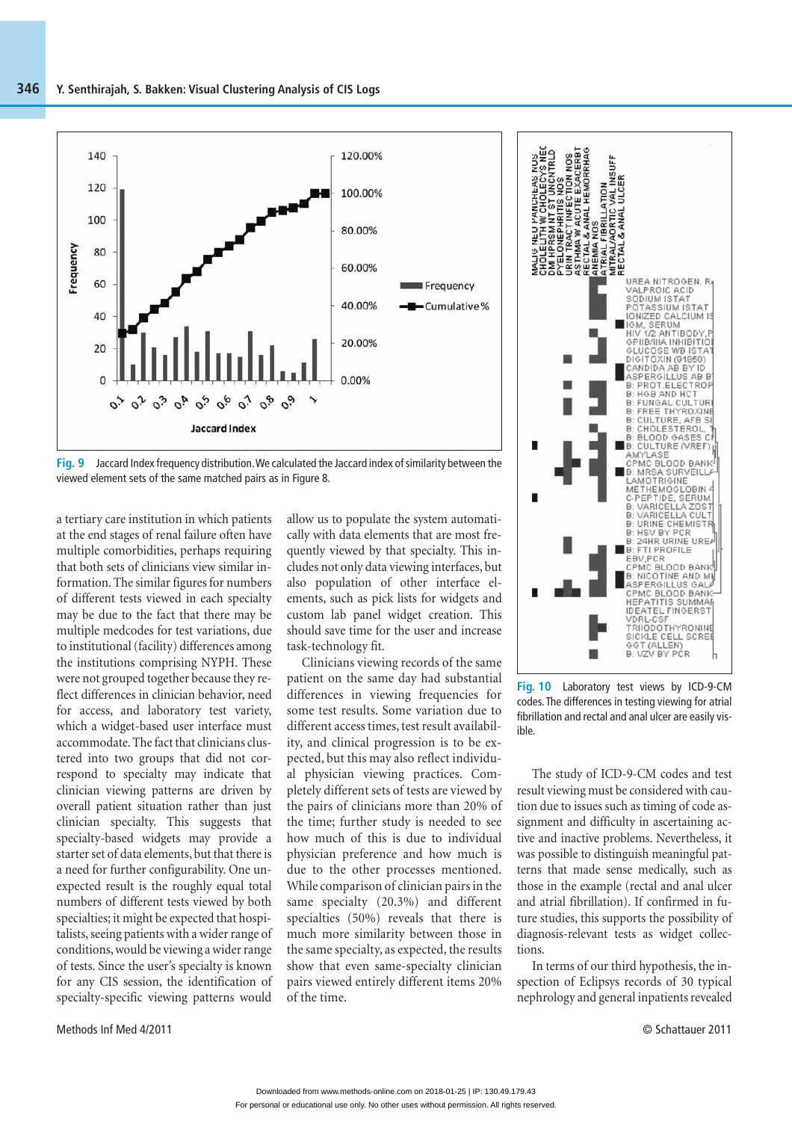

**Fig. 9** Jaccard Index frequency distribution. We calculated the Jaccard index of similarity between the viewed element sets of the same matched pairs as in Figure 8.

a tertiary care institution in which patients at the end stages of renal failure often have multiple comorbidities, perhaps requiring that both sets of clinicians view similar information. The similar figures for numbers of different tests viewed in each specialty may be due to the fact that there may be multiple medcodes for test variations, due to institutional (facility) differences among the institutions comprising NYPH. These were not grouped together because they reflect differences in clinician behavior, need for access, and laboratory test variety, which a widget-based user interface must accommodate. The fact that clinicians clustered into two groups that did not correspond to specialty may indicate that clinician viewing patterns are driven by overall patient situation rather than just clinician specialty. This suggests that specialty-based widgets may provide a starter set of data elements, but that there is a need for further configurability. One unexpected result is the roughly equal total numbers of different tests viewed by both specialties; it might be expected that hospitalists, seeing patients with a wider range of conditions, would be viewing a wider range of tests. Since the user's specialty is known for any CIS session, the identification of specialty-specific viewing patterns would

allow us to populate the system automatically with data elements that are most frequently viewed by that specialty. This includes not only data viewing interfaces, but also population of other interface elements, such as pick lists for widgets and custom lab panel widget creation. This should save time for the user and increase task-technology fit.

Clinicians viewing records of the same patient on the same day had substantial differences in viewing frequencies for some test results. Some variation due to different access times, test result availability, and clinical progression is to be expected, but this may also reflect individual physician viewing practices. Completely different sets of tests are viewed by the pairs of clinicians more than 20% of the time; further study is needed to see how much of this is due to individual physician preference and how much is due to the other processes mentioned. While comparison of clinician pairs in the same specialty (20.3%) and different specialties (50%) reveals that there is much more similarity between those in the same specialty, as expected, the results show that even same-specialty clinician pairs viewed entirely different items 20% of the time.



**Fig. 10** Laboratory test views by ICD-9-CM codes. The differences in testing viewing for atrial fibrillation and rectal and anal ulcer are easily visible.

The study of ICD-9-CM codes and test result viewing must be considered with caution due to issues such as timing of code assignment and difficulty in ascertaining active and inactive problems. Nevertheless, it was possible to distinguish meaningful patterns that made sense medically, such as those in the example (rectal and anal ulcer and atrial fibrillation). If confirmed in future studies, this supports the possibility of diagnosis-relevant tests as widget collections.

In terms of our third hypothesis, the inspection of Eclipsys records of 30 typical nephrology and general inpatients revealed

Methods Inf Med 4/2011 © Schattauer 2011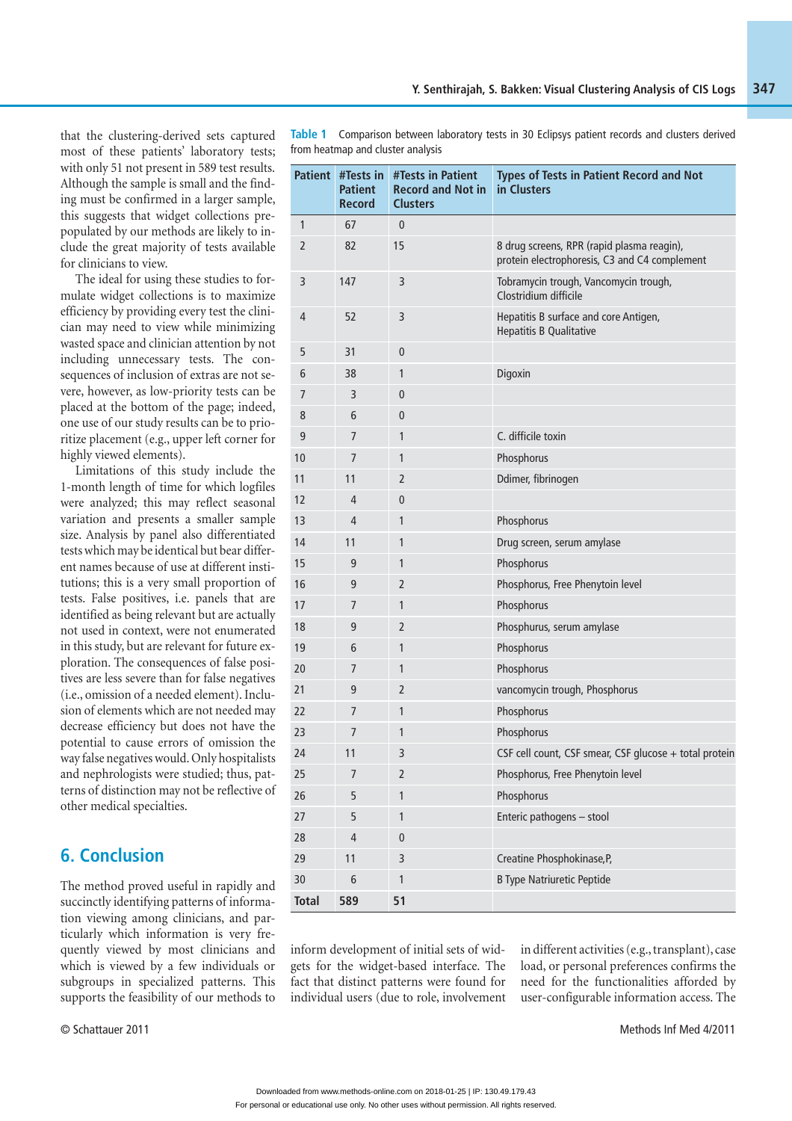**Table 1** Comparison between laboratory tests in 30 Eclipsys patient records and clusters derived

from heatmap and cluster analysis

that the clustering-derived sets captured most of these patients' laboratory tests; with only 51 not present in 589 test results. Although the sample is small and the finding must be confirmed in a larger sample, this suggests that widget collections prepopulated by our methods are likely to include the great majority of tests available for clinicians to view.

The ideal for using these studies to formulate widget collections is to maximize efficiency by providing every test the clinician may need to view while minimizing wasted space and clinician attention by not including unnecessary tests. The consequences of inclusion of extras are not severe, however, as low-priority tests can be placed at the bottom of the page; indeed, one use of our study results can be to prioritize placement (e.g., upper left corner for highly viewed elements).

Limitations of this study include the 1-month length of time for which logfiles were analyzed; this may reflect seasonal variation and presents a smaller sample size. Analysis by panel also differentiated tests which may be identical but bear different names because of use at different institutions; this is a very small proportion of tests. False positives, i.e. panels that are identified as being relevant but are actually not used in context, were not enumerated in this study, but are relevant for future exploration. The consequences of false positives are less severe than for false negatives (i.e., omission of a needed element). Inclusion of elements which are not needed may decrease efficiency but does not have the potential to cause errors of omission the way false negatives would. Only hospitalists and nephrologists were studied; thus, patterns of distinction may not be reflective of other medical specialties.

## **6. Conclusion**

The method proved useful in rapidly and succinctly identifying patterns of information viewing among clinicians, and particularly which information is very frequently viewed by most clinicians and which is viewed by a few individuals or subgroups in specialized patterns. This supports the feasibility of our methods to

**Patient #Tests in #Tests in Patient Patient Record Record and Not in Clusters Types of Tests in Patient Record and Not in Clusters**  1 67 0 2 82 15 8 drug screens, RPR (rapid plasma reagin), protein electrophoresis, C3 and C4 complement 3 147 3 Tobramycin trough, Vancomycin trough, Clostridium difficile 4 52 3 Hepatitis B surface and core Antigen, Hepatitis B Qualitative 5 31 0 6 38 1 Digoxin 7 3 0 8 6 0 9 7 1 C. difficile toxin 10 7 1 Phosphorus 11 11 2 Ddimer, fibrinogen 12 4 0 13 4 1 Phosphorus 14 11 15 16 17 18 19  $20$ 21  $22$ 23 24 25 26  $27$ 28 29 30 **Total**  9 9 7 9 6 7  $\alpha$  7 7 11 7 5 5  $\overline{A}$  11 6 **589**  1 1 2 1 2 1 1 2 1 1 3 2 1 1  $\Omega$  3 1 **51**  Drug screen, serum amylase Phosphorus Phosphorus, Free Phenytoin level Phosphorus Phosphurus, serum amylase Phosphorus Phosphorus vancomycin trough, Phosphorus Phosphorus Phosphorus CSF cell count, CSF smear, CSF glucose + total protein Phosphorus, Free Phenytoin level Phosphorus Enteric pathogens – stool Creatine Phosphokinase,P, B Type Natriuretic Peptide

inform development of initial sets of widgets for the widget-based interface. The fact that distinct patterns were found for individual users (due to role, involvement in different activities (e.g., transplant), case load, or personal preferences confirms the need for the functionalities afforded by user-configurable information access. The